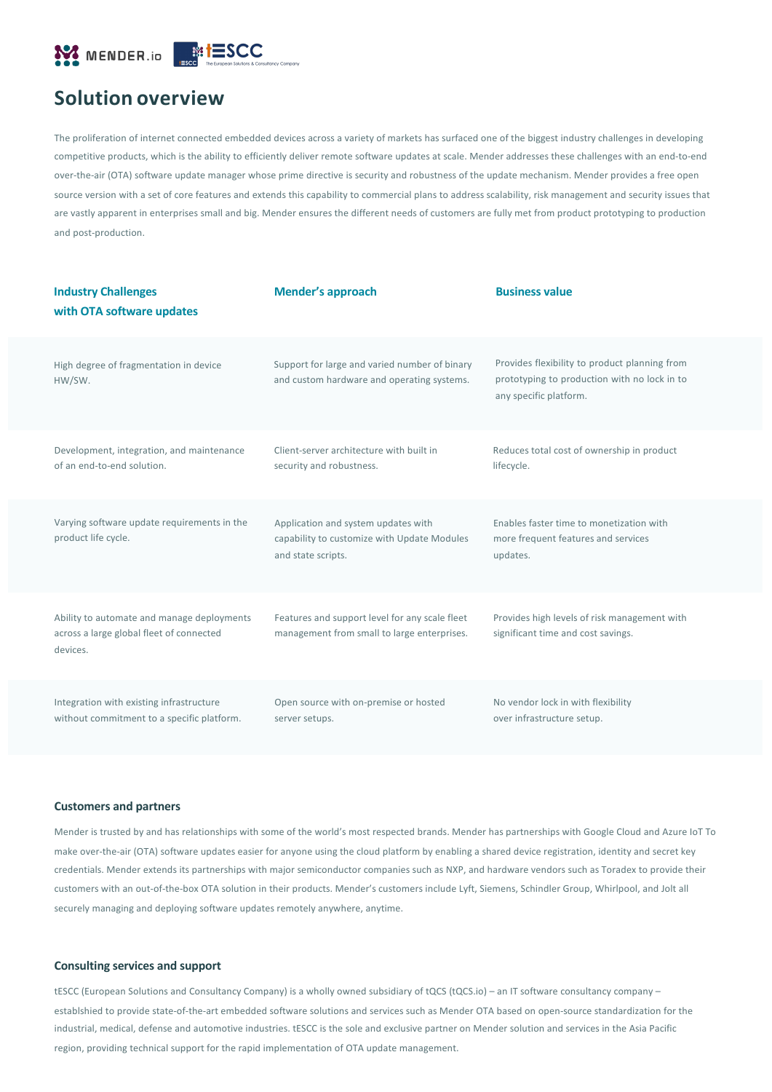

# **Solution overview**

The proliferation of internet connected embedded devices across a variety of markets has surfaced one of the biggest industry challenges in developing competitive products, which is the ability to efficiently deliver remote software updates at scale. Mender addresses these challenges with an end-to-end over-the-air (OTA) software update manager whose prime directive is security and robustness of the update mechanism. Mender provides a free open source version with a set of core features and extends this capability to commercial plans to address scalability, risk management and security issues that are vastly apparent in enterprises small and big. Mender ensures the different needs of customers are fully met from product prototyping to production and post-production.

| <b>Industry Challenges</b><br>with OTA software updates                                            | Mender's approach                                                                                        | <b>Business value</b>                                                                                                   |
|----------------------------------------------------------------------------------------------------|----------------------------------------------------------------------------------------------------------|-------------------------------------------------------------------------------------------------------------------------|
| High degree of fragmentation in device<br>HW/SW.                                                   | Support for large and varied number of binary<br>and custom hardware and operating systems.              | Provides flexibility to product planning from<br>prototyping to production with no lock in to<br>any specific platform. |
| Development, integration, and maintenance<br>of an end-to-end solution.                            | Client-server architecture with built in<br>security and robustness.                                     | Reduces total cost of ownership in product<br>lifecycle.                                                                |
| Varying software update requirements in the<br>product life cycle.                                 | Application and system updates with<br>capability to customize with Update Modules<br>and state scripts. | Enables faster time to monetization with<br>more frequent features and services<br>updates.                             |
| Ability to automate and manage deployments<br>across a large global fleet of connected<br>devices. | Features and support level for any scale fleet<br>management from small to large enterprises.            | Provides high levels of risk management with<br>significant time and cost savings.                                      |
| Integration with existing infrastructure<br>without commitment to a specific platform.             | Open source with on-premise or hosted<br>server setups.                                                  | No vendor lock in with flexibility<br>over infrastructure setup.                                                        |

#### **Customers and partners**

Mender is trusted by and has relationships with some of the world's most respected brands. Mender has partnerships with Google Cloud and Azure IoT To make over-the-air (OTA) software updates easier for anyone using the cloud platform by enabling a shared device registration, identity and secret key credentials. Mender extends its partnerships with major semiconductor companies such as NXP, and hardware vendors such as Toradex to provide their customers with an out-of-the-box OTA solution in their products. Mender's customers include Lyft, Siemens, Schindler Group, Whirlpool, and Jolt all securely managing and deploying software updates remotely anywhere, anytime.

### **Consulting services and support**

tESCC (European Solutions and Consultancy Company) is a wholly owned subsidiary of tQCS (tQCS.io) – an IT software consultancy company – establshied to provide state-of-the-art embedded software solutions and services such as Mender OTA based on open-source standardization for the industrial, medical, defense and automotive industries. tESCC is the sole and exclusive partner on Mender solution and services in the Asia Pacific region, providing technical support for the rapid implementation of OTA update management.